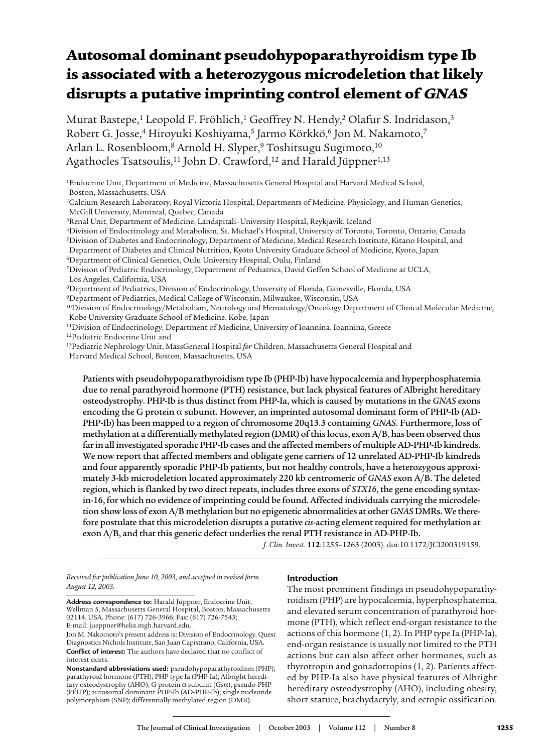# Autosomal dominant pseudohypoparathyroidism type Ib is associated with a heterozygous microdeletion that likely disrupts a putative imprinting control element of GNAS

Murat Bastepe,<sup>1</sup> Leopold F. Fröhlich,<sup>1</sup> Geoffrey N. Hendy,<sup>2</sup> Olafur S. Indridason,<sup>3</sup> Robert G. Josse,<sup>4</sup> Hiroyuki Koshiyama,<sup>5</sup> Jarmo Körkkö,<sup>6</sup> Jon M. Nakamoto,<sup>7</sup> Arlan L. Rosenbloom,<sup>8</sup> Arnold H. Slyper,<sup>9</sup> Toshitsugu Sugimoto,<sup>10</sup> Agathocles Tsatsoulis,<sup>11</sup> John D. Crawford,<sup>12</sup> and Harald Jüppner<sup>1,13</sup>

1Endocrine Unit, Department of Medicine, Massachusetts General Hospital and Harvard Medical School, Boston, Massachusetts, USA

2Calcium Research Laboratory, Royal Victoria Hospital, Departments of Medicine, Physiology, and Human Genetics, McGill University, Montreal, Quebec, Canada

3Renal Unit, Department of Medicine, Landspitali–University Hospital, Reykjavik, Iceland

4Division of Endocrinology and Metabolism, St. Michael's Hospital, University of Toronto, Toronto, Ontario, Canada

5Division of Diabetes and Endocrinology, Department of Medicine, Medical Research Institute, Kitano Hospital, and

Department of Diabetes and Clinical Nutrition, Kyoto University Graduate School of Medicine, Kyoto, Japan

6Department of Clinical Genetics, Oulu University Hospital, Oulu, Finland 7Division of Pediatric Endocrinology, Department of Pediatrics, David Geffen School of Medicine at UCLA,

Los Angeles, California, USA

8Department of Pediatrics, Division of Endocrinology, University of Florida, Gainesville, Florida, USA

9Department of Pediatrics, Medical College of Wisconsin, Milwaukee, Wisconsin, USA

10Division of Endocrinology/Metabolism, Neurology and Hematology/Oncology Department of Clinical Molecular Medicine, Kobe University Graduate School of Medicine, Kobe, Japan

11Division of Endocrinology, Department of Medicine, University of Ioannina, Ioannina, Greece

12Pediatric Endocrine Unit and

13Pediatric Nephrology Unit, MassGeneral Hospital *for* Children, Massachusetts General Hospital and Harvard Medical School, Boston, Massachusetts, USA

Patients with pseudohypoparathyroidism type Ib (PHP-Ib) have hypocalcemia and hyperphosphatemia due to renal parathyroid hormone (PTH) resistance, but lack physical features of Albright hereditary osteodystrophy. PHP-Ib is thus distinct from PHP-Ia, which is caused by mutations in the *GNAS* exons encoding the G protein  $\alpha$  subunit. However, an imprinted autosomal dominant form of PHP-Ib (AD-PHP-Ib) has been mapped to a region of chromosome 20q13.3 containing *GNAS*. Furthermore, loss of methylation at a differentially methylated region (DMR) of this locus, exon A/B, has been observed thus far in all investigated sporadic PHP-Ib cases and the affected members of multiple AD-PHP-Ib kindreds. We now report that affected members and obligate gene carriers of 12 unrelated AD-PHP-Ib kindreds and four apparently sporadic PHP-Ib patients, but not healthy controls, have a heterozygous approximately 3-kb microdeletion located approximately 220 kb centromeric of *GNAS* exon A/B. The deleted region, which is flanked by two direct repeats, includes three exons of *STX16*, the gene encoding syntaxin-16, for which no evidence of imprinting could be found. Affected individuals carrying the microdeletion show loss of exon A/B methylation but no epigenetic abnormalities at other *GNAS*DMRs. We therefore postulate that this microdeletion disrupts a putative *cis*-acting element required for methylation at exon A/B, and that this genetic defect underlies the renal PTH resistance in AD-PHP-Ib.

*J. Clin. Invest.* **112**:1255–1263 (2003). doi:10.1172/JCI200319159.

*Received for publication June 10, 2003, and accepted in revised form August 12, 2003.*

# **Introduction**

**Address correspondence to:** Harald Jüppner, Endocrine Unit, Wellman 5, Massachusetts General Hospital, Boston, Massachusetts 02114, USA. Phone: (617) 726-3966; Fax: (617) 726-7543; E-mail: jueppner@helix.mgh.harvard.edu.

The most prominent findings in pseudohypoparathyroidism (PHP) are hypocalcemia, hyperphosphatemia, and elevated serum concentration of parathyroid hormone (PTH), which reflect end-organ resistance to the actions of this hormone (1, 2). In PHP type Ia (PHP-Ia), end-organ resistance is usually not limited to the PTH actions but can also affect other hormones, such as thyrotropin and gonadotropins (1, 2). Patients affected by PHP-Ia also have physical features of Albright hereditary osteodystrophy (AHO), including obesity, short stature, brachydactyly, and ectopic ossification.

Jon M. Nakomoto's present address is: Division of Endocrinology, Quest Diagnostics Nichols Institute, San Juan Capistrano, California, USA. **Conflict of interest:** The authors have declared that no conflict of interest exists.

**Nonstandard abbreviations used:** pseudohypoparathyroidism (PHP); parathyroid hormone (PTH); PHP type Ia (PHP-Ia); Albright hereditary osteodystrophy (AHO); G protein  $\alpha$  subunit (Gs $\alpha$ ); pseudo-PHP (PPHP); autosomal dominant PHP-Ib (AD-PHP-Ib); single nucleotide polymorphism (SNP); differentially methylated region (DMR).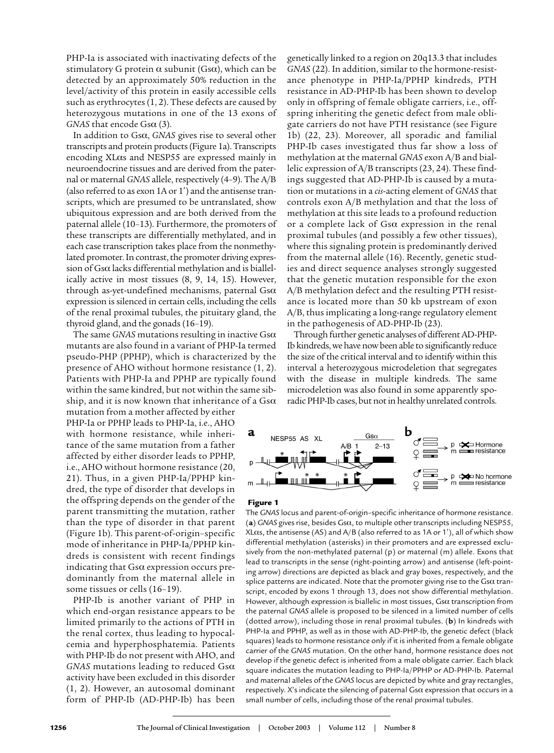PHP-Ia is associated with inactivating defects of the stimulatory G protein  $\alpha$  subunit (Gs $\alpha$ ), which can be detected by an approximately 50% reduction in the level/activity of this protein in easily accessible cells such as erythrocytes (1, 2). These defects are caused by heterozygous mutations in one of the 13 exons of *GNAS* that encode  $G$ s $\alpha$  (3).

In addition to Gs\_, *GNAS* gives rise to several other transcripts and protein products (Figure 1a). Transcripts encoding  $X$ L $\alpha$ s and NESP55 are expressed mainly in neuroendocrine tissues and are derived from the paternal or maternal *GNAS* allele, respectively (4–9). The A/B (also referred to as exon  $1A$  or  $1'$ ) and the antisense transcripts, which are presumed to be untranslated, show ubiquitous expression and are both derived from the paternal allele (10–13). Furthermore, the promoters of these transcripts are differentially methylated, and in each case transcription takes place from the nonmethylated promoter. In contrast, the promoter driving expression of Gs $\alpha$  lacks differential methylation and is biallelically active in most tissues (8, 9, 14, 15). However, through as-yet-undefined mechanisms, paternal  $Gs\alpha$ expression is silenced in certain cells, including the cells of the renal proximal tubules, the pituitary gland, the thyroid gland, and the gonads (16–19).

The same *GNAS* mutations resulting in inactive  $Gs\alpha$ mutants are also found in a variant of PHP-Ia termed pseudo-PHP (PPHP), which is characterized by the presence of AHO without hormone resistance (1, 2). Patients with PHP-Ia and PPHP are typically found within the same kindred, but not within the same sibship, and it is now known that inheritance of a Gs $\alpha$ 

mutation from a mother affected by either PHP-Ia or PPHP leads to PHP-Ia, i.e., AHO with hormone resistance, while inheritance of the same mutation from a father affected by either disorder leads to PPHP, i.e., AHO without hormone resistance (20, 21). Thus, in a given PHP-Ia/PPHP kindred, the type of disorder that develops in the offspring depends on the gender of the parent transmitting the mutation, rather than the type of disorder in that parent (Figure 1b). This parent-of-origin–specific mode of inheritance in PHP-Ia/PPHP kindreds is consistent with recent findings indicating that  $Gs\alpha$  expression occurs predominantly from the maternal allele in some tissues or cells (16–19).

PHP-Ib is another variant of PHP in which end-organ resistance appears to be limited primarily to the actions of PTH in the renal cortex, thus leading to hypocalcemia and hyperphosphatemia. Patients with PHP-Ib do not present with AHO, and *GNAS* mutations leading to reduced Gs\_ activity have been excluded in this disorder (1, 2). However, an autosomal dominant form of PHP-Ib (AD-PHP-Ib) has been

genetically linked to a region on 20q13.3 that includes *GNAS* (22). In addition, similar to the hormone-resistance phenotype in PHP-Ia/PPHP kindreds, PTH resistance in AD-PHP-Ib has been shown to develop only in offspring of female obligate carriers, i.e., offspring inheriting the genetic defect from male obligate carriers do not have PTH resistance (see Figure 1b) (22, 23). Moreover, all sporadic and familial PHP-Ib cases investigated thus far show a loss of methylation at the maternal *GNAS* exon A/B and biallelic expression of A/B transcripts (23, 24). These findings suggested that AD-PHP-Ib is caused by a mutation or mutations in a *cis*-acting element of *GNAS* that controls exon A/B methylation and that the loss of methylation at this site leads to a profound reduction or a complete lack of  $Gs\alpha$  expression in the renal proximal tubules (and possibly a few other tissues), where this signaling protein is predominantly derived from the maternal allele (16). Recently, genetic studies and direct sequence analyses strongly suggested that the genetic mutation responsible for the exon A/B methylation defect and the resulting PTH resistance is located more than 50 kb upstream of exon A/B, thus implicating a long-range regulatory element in the pathogenesis of AD-PHP-Ib (23).

Through further genetic analyses of different AD-PHP-Ib kindreds, we have now been able to significantly reduce the size of the critical interval and to identify within this interval a heterozygous microdeletion that segregates with the disease in multiple kindreds. The same microdeletion was also found in some apparently sporadic PHP-Ib cases, but not in healthy unrelated controls.



#### Figure 1

The *GNAS* locus and parent-of-origin–specific inheritance of hormone resistance. (a)  $GNAS$  gives rise, besides  $Gs\alpha$ , to multiple other transcripts including NESP55,  $X$ L $\alpha$ s, the antisense (AS) and A/B (also referred to as 1A or 1'), all of which show differential methylation (asterisks) in their promoters and are expressed exclusively from the non-methylated paternal (p) or maternal (m) allele. Exons that lead to transcripts in the sense (right-pointing arrow) and antisense (left-pointing arrow) directions are depicted as black and gray boxes, respectively, and the splice patterns are indicated. Note that the promoter giving rise to the Gs $\alpha$  transcript, encoded by exons 1 through 13, does not show differential methylation. However, although expression is biallelic in most tissues,  $Gs\alpha$  transcription from the paternal *GNAS* allele is proposed to be silenced in a limited number of cells (dotted arrow), including those in renal proximal tubules. (**b**) In kindreds with PHP-Ia and PPHP, as well as in those with AD-PHP-Ib, the genetic defect (black squares) leads to hormone resistance only if it is inherited from a female obligate carrier of the *GNAS* mutation. On the other hand, hormone resistance does not develop if the genetic defect is inherited from a male obligate carrier. Each black square indicates the mutation leading to PHP-Ia/PPHP or AD-PHP-Ib. Paternal and maternal alleles of the *GNAS* locus are depicted by white and gray rectangles, respectively. X's indicate the silencing of paternal  $Gs\alpha$  expression that occurs in a small number of cells, including those of the renal proximal tubules.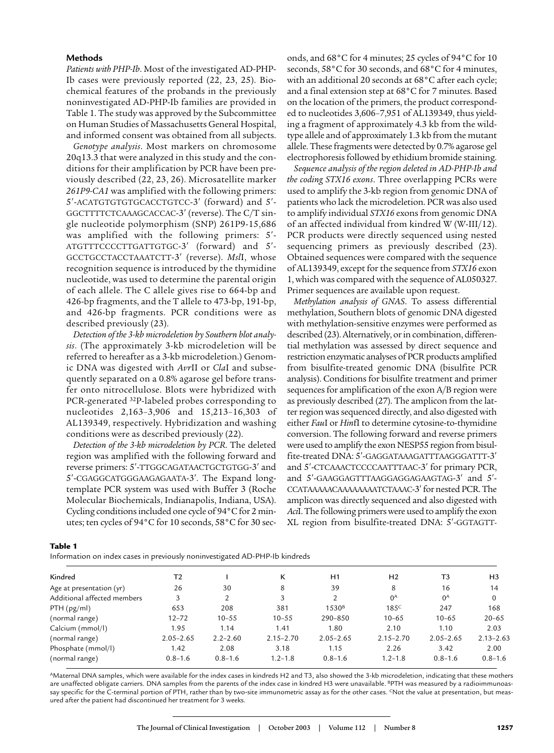# **Methods**

*Patients with PHP-Ib*. Most of the investigated AD-PHP-Ib cases were previously reported (22, 23, 25). Biochemical features of the probands in the previously noninvestigated AD-PHP-Ib families are provided in Table 1. The study was approved by the Subcommittee on Human Studies of Massachusetts General Hospital, and informed consent was obtained from all subjects.

*Genotype analysis*. Most markers on chromosome 20q13.3 that were analyzed in this study and the conditions for their amplification by PCR have been previously described (22, 23, 26). Microsatellite marker *261P9-CA1* was amplified with the following primers: 5'-ACATGTGTGTGCACCTGTCC-3' (forward) and 5'-GGCTTTTCTCAAAGCACCAC-3' (reverse). The C/T single nucleotide polymorphism (SNP) 261P9-15,686 was amplified with the following primers:  $5'$ -ATGTTTCCCCTTGATTGTGC-3' (forward) and 5'-GCCTGCCTACCTAAATCTT-3' (reverse). *MslI*, whose recognition sequence is introduced by the thymidine nucleotide, was used to determine the parental origin of each allele. The C allele gives rise to 664-bp and 426-bp fragments, and the T allele to 473-bp, 191-bp, and 426-bp fragments. PCR conditions were as described previously (23).

*Detection of the 3-kb microdeletion by Southern blot analysis*. (The approximately 3-kb microdeletion will be referred to hereafter as a 3-kb microdeletion.) Genomic DNA was digested with *Avr*II or *Cla*I and subsequently separated on a 0.8% agarose gel before transfer onto nitrocellulose. Blots were hybridized with PCR-generated 32P-labeled probes corresponding to nucleotides 2,163–3,906 and 15,213–16,303 of AL139349, respectively. Hybridization and washing conditions were as described previously (22).

*Detection of the 3-kb microdeletion by PCR*. The deleted region was amplified with the following forward and reverse primers: 5'-TTGGCAGATAACTGCTGTGG-3' and 5'-CGAGGCATGGGAAGAGAATA-3'. The Expand longtemplate PCR system was used with Buffer 3 (Roche Molecular Biochemicals, Indianapolis, Indiana, USA). Cycling conditions included one cycle of 94°C for 2 minutes; ten cycles of 94°C for 10 seconds, 58°C for 30 seconds, and 68°C for 4 minutes; 25 cycles of 94°C for 10 seconds, 58°C for 30 seconds, and 68°C for 4 minutes, with an additional 20 seconds at 68°C after each cycle; and a final extension step at 68°C for 7 minutes. Based on the location of the primers, the product corresponded to nucleotides 3,606–7,951 of AL139349, thus yielding a fragment of approximately 4.3 kb from the wildtype allele and of approximately 1.3 kb from the mutant allele. These fragments were detected by 0.7% agarose gel electrophoresis followed by ethidium bromide staining.

*Sequence analysis of the region deleted in AD-PHP-Ib and the coding STX16 exons*. Three overlapping PCRs were used to amplify the 3-kb region from genomic DNA of patients who lack the microdeletion. PCR was also used to amplify individual *STX16* exons from genomic DNA of an affected individual from kindred W (W-III/12). PCR products were directly sequenced using nested sequencing primers as previously described (23). Obtained sequences were compared with the sequence of AL139349, except for the sequence from *STX16* exon 1, which was compared with the sequence of AL050327. Primer sequences are available upon request.

*Methylation analysis of GNAS*. To assess differential methylation, Southern blots of genomic DNA digested with methylation-sensitive enzymes were performed as described (23). Alternatively, or in combination, differential methylation was assessed by direct sequence and restriction enzymatic analyses of PCR products amplified from bisulfite-treated genomic DNA (bisulfite PCR analysis). Conditions for bisulfite treatment and primer sequences for amplification of the exon A/B region were as previously described (27). The amplicon from the latter region was sequenced directly, and also digested with either *Fau*I or *Hin*fI to determine cytosine-to-thymidine conversion. The following forward and reverse primers were used to amplify the exon NESP55 region from bisulfite-treated DNA: 5'-GAGGATAAAGATTTAAGGGATTT-3' and 5'-CTCAAACTCCCCAATTTAAC-3' for primary PCR, and 5'-GAAGGAGTTTAAGGAGGAGAAGTAG-3' and 5'-CCATAAAAACAAAAAAAATCTAAAC-3' for nested PCR. The amplicon was directly sequenced and also digested with *Aci*I. The following primers were used to amplify the exon XL region from bisulfite-treated DNA: 5'-GGTAGTT-

| ۰,<br>۰.<br>. .<br>×<br>.,<br>۰.<br>× |  |
|---------------------------------------|--|
|---------------------------------------|--|

Information on index cases in previously noninvestigated AD-PHP-Ib kindreds

| Kindred                     | T2            |              | κ             | H1                | H <sub>2</sub>   | T3             | H <sub>3</sub> |
|-----------------------------|---------------|--------------|---------------|-------------------|------------------|----------------|----------------|
| Age at presentation (yr)    | 26            | 30           | 8             | 39                | 8                | 16             | 14             |
| Additional affected members | 3             | 2            | 3             | $\overline{2}$    | $0^{\text{A}}$   | $0^{\text{A}}$ | $\mathbf{0}$   |
| PTH (pg/ml)                 | 653           | 208          | 381           | 1530 <sup>B</sup> | 185 <sup>C</sup> | 247            | 168            |
| (normal range)              | $12 - 72$     | $10 - 55$    | $10 - 55$     | 290-850           | $10 - 65$        | $10 - 65$      | $20 - 65$      |
| Calcium (mmol/l)            | 1.95          | 1.14         | 1.41          | 1.80              | 2.10             | 1.10           | 2.03           |
| (normal range)              | $2.05 - 2.65$ | $2.2 - 2.60$ | $2.15 - 2.70$ | $2.05 - 2.65$     | $2.15 - 2.70$    | $2.05 - 2.65$  | $2.13 - 2.63$  |
| Phosphate (mmol/l)          | 1.42          | 2.08         | 3.18          | 1.15              | 2.26             | 3.42           | 2.00           |
| (normal range)              | $0.8 - 1.6$   | $0.8 - 1.6$  | $1.2 - 1.8$   | $0.8 - 1.6$       | $1, 2 - 1, 8$    | $0.8 - 1.6$    | $0.8 - 1.6$    |
|                             |               |              |               |                   |                  |                |                |

AMaternal DNA samples, which were available for the index cases in kindreds H2 and T3, also showed the 3-kb microdeletion, indicating that these mothers are unaffected obligate carriers. DNA samples from the parents of the index case in kindred H3 were unavailable. <sup>B</sup>PTH was measured by a radioimmunoassay specific for the C-terminal portion of PTH, rather than by two-site immunometric assay as for the other cases. CNot the value at presentation, but measured after the patient had discontinued her treatment for 3 weeks.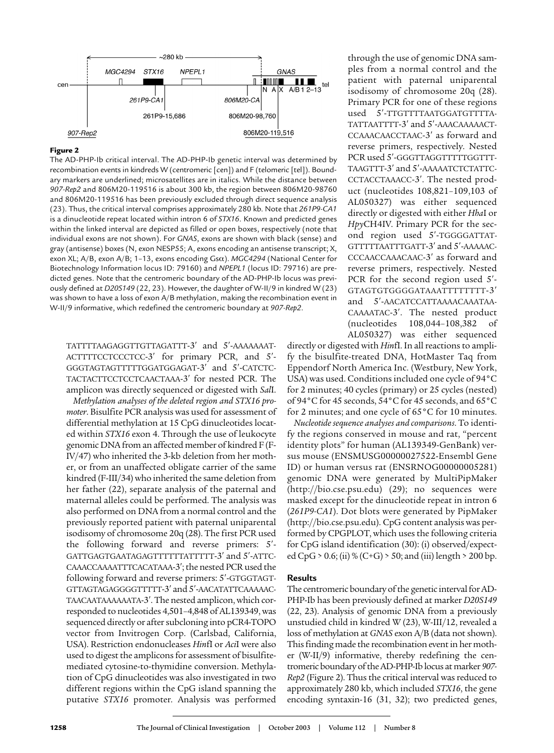

#### Figure 2

The AD-PHP-Ib critical interval. The AD-PHP-Ib genetic interval was determined by recombination events in kindreds W (centromeric [cen]) and F (telomeric [tel]). Boundary markers are underlined; microsatellites are in italics. While the distance between *907-Rep2* and 806M20-119516 is about 300 kb, the region between 806M20-98760 and 806M20-119516 has been previously excluded through direct sequence analysis (23). Thus, the critical interval comprises approximately 280 kb. Note that *261P9-CA1* is a dinucleotide repeat located within intron 6 of *STX16*. Known and predicted genes within the linked interval are depicted as filled or open boxes, respectively (note that individual exons are not shown). For *GNAS*, exons are shown with black (sense) and gray (antisense) boxes (N, exon NESP55; A, exons encoding an antisense transcript; X, exon XL; A/B, exon A/B; 1–13, exons encoding Gs\_). *MGC4294* (National Center for Biotechnology Information locus ID: 79160) and *NPEPL1* (locus ID: 79716) are predicted genes. Note that the centromeric boundary of the AD-PHP-Ib locus was previously defined at *D20S149* (22, 23). However, the daughter of W-II/9 in kindred W (23) was shown to have a loss of exon A/B methylation, making the recombination event in W-II/9 informative, which redefined the centromeric boundary at *907-Rep2*.

TATTTTAAGAGGTTGTTAGATTT-3' and 5'-AAAAAAAT-ACTTTTCCTCCCTCC-3' for primary PCR, and 5'-GGGTAGTAGTTTTTGGATGGAGAT-3' and 5'-CATCTC-TACTACTTCCTCCTCAACTAAA-3' for nested PCR. The amplicon was directly sequenced or digested with *Sal*I.

*Methylation analyses of the deleted region and STX16 promoter*. Bisulfite PCR analysis was used for assessment of differential methylation at 15 CpG dinucleotides located within *STX16* exon 4. Through the use of leukocyte genomic DNA from an affected member of kindred F (F-IV/47) who inherited the 3-kb deletion from her mother, or from an unaffected obligate carrier of the same kindred (F-III/34) who inherited the same deletion from her father (22), separate analysis of the paternal and maternal alleles could be performed. The analysis was also performed on DNA from a normal control and the previously reported patient with paternal uniparental isodisomy of chromosome 20q (28). The first PCR used the following forward and reverse primers:  $5'$ -GATTGAGTGAATAGAGTTTTTTTATTTTT-3' and 5'-ATTC-CAAACCAAAATTTCACATAAA-3'; the nested PCR used the following forward and reverse primers: 5'-GTGGTAGT-GTTAGTAGAGGGGTTTTT-3' and 5'-AACATATTCAAAAAC-TAACAATAAAAAATA-3'. The nested amplicon, which corresponded to nucleotides 4,501–4,848 of AL139349, was sequenced directly or after subcloning into pCR4-TOPO vector from Invitrogen Corp. (Carlsbad, California, USA). Restriction endonucleases *Hin*fI or *Aci*I were also used to digest the amplicons for assessment of bisulfitemediated cytosine-to-thymidine conversion. Methylation of CpG dinucleotides was also investigated in two different regions within the CpG island spanning the putative *STX16* promoter. Analysis was performed

through the use of genomic DNA samples from a normal control and the patient with paternal uniparental isodisomy of chromosome 20q (28). Primary PCR for one of these regions used 5'-TTGTTTTAATGGATGTTTTA-TATTAATTTT-3' and 5'-AAACAAAAACT-CCAAACAACCTAAC-3' as forward and reverse primers, respectively. Nested PCR used 5'-GGGTTAGGTTTTTGGTTT-TAAGTTT-3' and 5'-AAAAAATCTCTATTC-CCTACCTAAACC-3'. The nested product (nucleotides 108,821–109,103 of AL050327) was either sequenced directly or digested with either *Hha*I or *Hpy*CH4IV. Primary PCR for the second region used 5'-TGGGGATTAT-GTTTTTAATTTGATT-3' and 5'-AAAAAC-CCCAACCAAACAAC-3' as forward and reverse primers, respectively. Nested PCR for the second region used 5'-GTAGTGTGGGGATAAATTTTTTTT-3 and 5'-AACATCCATTAAAACAAATAA-CAAAATAC-3'. The nested product (nucleotides 108,044–108,382 of AL050327) was either sequenced

directly or digested with *Hin*fI. In all reactions to amplify the bisulfite-treated DNA, HotMaster Taq from Eppendorf North America Inc. (Westbury, New York, USA) was used. Conditions included one cycle of 94°C for 2 minutes; 40 cycles (primary) or 25 cycles (nested) of 94°C for 45 seconds, 54°C for 45 seconds, and 65°C for 2 minutes; and one cycle of 65°C for 10 minutes.

*Nucleotide sequence analyses and comparisons*. To identify the regions conserved in mouse and rat, "percent identity plots" for human (AL139349-GenBank) versus mouse (ENSMUSG00000027522-Ensembl Gene ID) or human versus rat (ENSRNOG00000005281) genomic DNA were generated by MultiPipMaker (http://bio.cse.psu.edu) (29); no sequences were masked except for the dinucleotide repeat in intron 6 (*261P9-CA1*). Dot blots were generated by PipMaker (http://bio.cse.psu.edu). CpG content analysis was performed by CPGPLOT, which uses the following criteria for CpG island identification (30): (i) observed/expected CpG > 0.6; (ii) % (C+G) > 50; and (iii) length > 200 bp.

# **Results**

The centromeric boundary of the genetic interval for AD-PHP-Ib has been previously defined at marker *D20S149* (22, 23). Analysis of genomic DNA from a previously unstudied child in kindred W (23), W-III/12, revealed a loss of methylation at *GNAS* exon A/B (data not shown). This finding made the recombination event in her mother (W-II/9) informative, thereby redefining the centromeric boundary of the AD-PHP-Ib locus at marker *907- Rep2* (Figure 2). Thus the critical interval was reduced to approximately 280 kb, which included *STX16*, the gene encoding syntaxin-16 (31, 32); two predicted genes,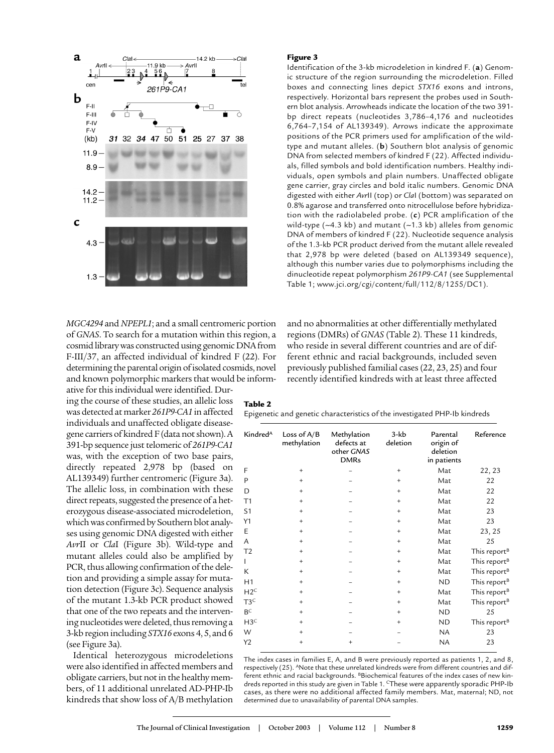

*MGC4294* and *NPEPL1*; and a small centromeric portion of *GNAS*. To search for a mutation within this region, a cosmid library was constructed using genomic DNA from F-III/37, an affected individual of kindred F (22). For determining the parental origin of isolated cosmids, novel and known polymorphic markers that would be inform-

ative for this individual were identified. During the course of these studies, an allelic loss was detected at marker *261P9-CA1* in affected individuals and unaffected obligate diseasegene carriers of kindred F (data not shown). A 391-bp sequence just telomeric of *261P9-CA1* was, with the exception of two base pairs, directly repeated 2,978 bp (based on AL139349) further centromeric (Figure 3a). The allelic loss, in combination with these direct repeats, suggested the presence of a heterozygous disease-associated microdeletion, which was confirmed by Southern blot analyses using genomic DNA digested with either *Avr*II or *Cla*I (Figure 3b). Wild-type and mutant alleles could also be amplified by PCR, thus allowing confirmation of the deletion and providing a simple assay for mutation detection (Figure 3c). Sequence analysis of the mutant 1.3-kb PCR product showed that one of the two repeats and the intervening nucleotides were deleted, thus removing a 3-kb region including *STX16* exons 4, 5, and 6 (see Figure 3a).

Identical heterozygous microdeletions were also identified in affected members and obligate carriers, but not in the healthy members, of 11 additional unrelated AD-PHP-Ib kindreds that show loss of A/B methylation

#### Figure 3

Identification of the 3-kb microdeletion in kindred F. (**a**) Genomic structure of the region surrounding the microdeletion. Filled boxes and connecting lines depict *STX16* exons and introns, respectively. Horizontal bars represent the probes used in Southern blot analysis. Arrowheads indicate the location of the two 391 bp direct repeats (nucleotides 3,786–4,176 and nucleotides 6,764–7,154 of AL139349). Arrows indicate the approximate positions of the PCR primers used for amplification of the wildtype and mutant alleles. (**b**) Southern blot analysis of genomic DNA from selected members of kindred F (22). Affected individuals, filled symbols and bold identification numbers. Healthy individuals, open symbols and plain numbers. Unaffected obligate gene carrier, gray circles and bold italic numbers. Genomic DNA digested with either *Avr*II (top) or *Cla*I (bottom) was separated on 0.8% agarose and transferred onto nitrocellulose before hybridization with the radiolabeled probe. (**c**) PCR amplification of the wild-type ( $-4.3$  kb) and mutant ( $-1.3$  kb) alleles from genomic DNA of members of kindred F (22). Nucleotide sequence analysis of the 1.3-kb PCR product derived from the mutant allele revealed that 2,978 bp were deleted (based on AL139349 sequence), although this number varies due to polymorphisms including the dinucleotide repeat polymorphism *261P9-CA1* (see Supplemental Table 1; www.jci.org/cgi/content/full/112/8/1255/DC1).

and no abnormalities at other differentially methylated regions (DMRs) of *GNAS* (Table 2). These 11 kindreds, who reside in several different countries and are of different ethnic and racial backgrounds, included seven previously published familial cases (22, 23, 25) and four recently identified kindreds with at least three affected

# Table 2

Epigenetic and genetic characteristics of the investigated PHP-Ib kindreds

| Kindred <sup>A</sup> | Loss of $A/B$<br>methylation | Methylation<br>defects at<br>other GNAS<br><b>DMRs</b> | $3-kb$<br>deletion | Parental<br>origin of<br>deletion<br>in patients | Reference                |
|----------------------|------------------------------|--------------------------------------------------------|--------------------|--------------------------------------------------|--------------------------|
| F                    | $\ddot{}$                    |                                                        | $^{+}$             | Mat                                              | 22, 23                   |
| P                    | $\ddot{}$                    |                                                        | $\ddot{}$          | Mat                                              | 22                       |
| D                    | $\ddot{}$                    |                                                        | $\ddot{}$          | Mat                                              | 22                       |
| T1                   | $\ddot{}$                    |                                                        | $+$                | Mat                                              | 22                       |
| S <sub>1</sub>       | $^{+}$                       |                                                        | $\ddot{}$          | Mat                                              | 23                       |
| Y1                   | $\ddot{}$                    |                                                        | $\ddot{}$          | Mat                                              | 23                       |
| E                    | $\ddot{}$                    |                                                        | $\ddot{}$          | Mat                                              | 23, 25                   |
| A                    | $\ddot{}$                    |                                                        | $\ddot{}$          | Mat                                              | 25                       |
| T <sub>2</sub>       | $\ddot{}$                    |                                                        | $\ddot{}$          | Mat                                              | This report <sup>B</sup> |
| L                    | $\ddot{}$                    |                                                        | $\ddot{}$          | Mat                                              | This report <sup>B</sup> |
| K                    | $\ddot{}$                    |                                                        | $+$                | Mat                                              | This report <sup>B</sup> |
| H1                   | $\ddot{}$                    |                                                        | $\ddot{}$          | ND                                               | This report <sup>B</sup> |
| H2 <sup>c</sup>      | $\ddot{}$                    |                                                        | $\ddot{}$          | Mat                                              | This report <sup>B</sup> |
| T3 <sup>C</sup>      | $\ddot{}$                    |                                                        | $\ddot{}$          | Mat                                              | This report <sup>B</sup> |
| $B^C$                | $\ddot{}$                    |                                                        | $\ddot{}$          | ND                                               | 25                       |
| H3 <sup>C</sup>      | $\ddot{}$                    |                                                        | $\ddot{}$          | ND.                                              | This report <sup>B</sup> |
| W                    | $^{+}$                       |                                                        |                    | NA                                               | 23                       |
| Y2                   | $^{+}$                       | $\ddot{}$                                              |                    | <b>NA</b>                                        | 23                       |
|                      |                              |                                                        |                    |                                                  |                          |

The index cases in families E, A, and B were previously reported as patients 1, 2, and 8, respectively (25). ANote that these unrelated kindreds were from different countries and different ethnic and racial backgrounds. BBiochemical features of the index cases of new kindreds reported in this study are given in Table 1. CThese were apparently sporadic PHP-Ib cases, as there were no additional affected family members. Mat, maternal; ND, not determined due to unavailability of parental DNA samples.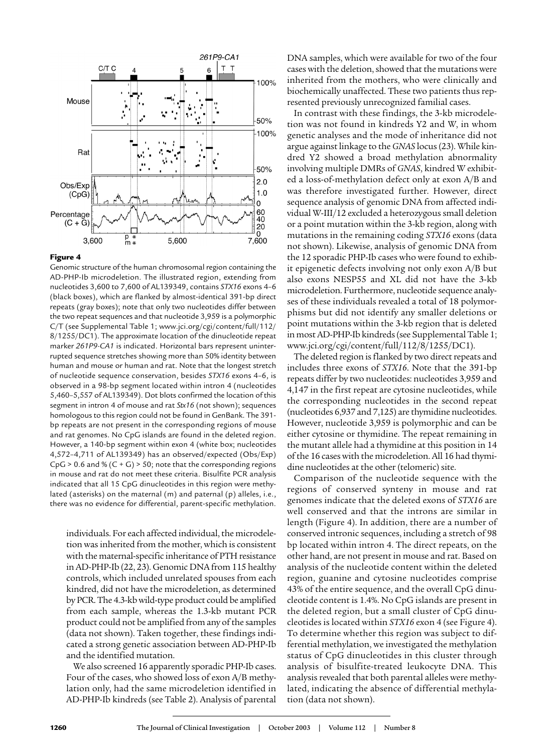

#### Figure 4

Genomic structure of the human chromosomal region containing the AD-PHP-Ib microdeletion. The illustrated region, extending from nucleotides 3,600 to 7,600 of AL139349, contains *STX16* exons 4–6 (black boxes), which are flanked by almost-identical 391-bp direct repeats (gray boxes); note that only two nucleotides differ between the two repeat sequences and that nucleotide 3,959 is a polymorphic C/T (see Supplemental Table 1; www.jci.org/cgi/content/full/112/ 8/1255/DC1). The approximate location of the dinucleotide repeat marker *261P9-CA1* is indicated. Horizontal bars represent uninterrupted sequence stretches showing more than 50% identity between human and mouse or human and rat. Note that the longest stretch of nucleotide sequence conservation, besides *STX16* exons 4–6, is observed in a 98-bp segment located within intron 4 (nucleotides 5,460–5,557 of AL139349). Dot blots confirmed the location of this segment in intron 4 of mouse and rat *Stx16* (not shown); sequences homologous to this region could not be found in GenBank. The 391 bp repeats are not present in the corresponding regions of mouse and rat genomes. No CpG islands are found in the deleted region. However, a 140-bp segment within exon 4 (white box; nucleotides 4,572–4,711 of AL139349) has an observed/expected (Obs/Exp)  $CpG > 0.6$  and %  $(C + G) > 50$ ; note that the corresponding regions in mouse and rat do not meet these criteria. Bisulfite PCR analysis indicated that all 15 CpG dinucleotides in this region were methylated (asterisks) on the maternal (m) and paternal (p) alleles, i.e., there was no evidence for differential, parent-specific methylation.

individuals. For each affected individual, the microdeletion was inherited from the mother, which is consistent with the maternal-specific inheritance of PTH resistance in AD-PHP-Ib (22, 23). Genomic DNA from 115 healthy controls, which included unrelated spouses from each kindred, did not have the microdeletion, as determined by PCR. The 4.3-kb wild-type product could be amplified from each sample, whereas the 1.3-kb mutant PCR product could not be amplified from any of the samples (data not shown). Taken together, these findings indicated a strong genetic association between AD-PHP-Ib and the identified mutation.

We also screened 16 apparently sporadic PHP-Ib cases. Four of the cases, who showed loss of exon A/B methylation only, had the same microdeletion identified in AD-PHP-Ib kindreds (see Table 2). Analysis of parental

DNA samples, which were available for two of the four cases with the deletion, showed that the mutations were inherited from the mothers, who were clinically and biochemically unaffected. These two patients thus represented previously unrecognized familial cases.

In contrast with these findings, the 3-kb microdeletion was not found in kindreds Y2 and W, in whom genetic analyses and the mode of inheritance did not argue against linkage to the *GNAS* locus (23). While kindred Y2 showed a broad methylation abnormality involving multiple DMRs of *GNAS*, kindred W exhibited a loss-of-methylation defect only at exon A/B and was therefore investigated further. However, direct sequence analysis of genomic DNA from affected individual W-III/12 excluded a heterozygous small deletion or a point mutation within the 3-kb region, along with mutations in the remaining coding *STX16* exons (data not shown). Likewise, analysis of genomic DNA from the 12 sporadic PHP-Ib cases who were found to exhibit epigenetic defects involving not only exon A/B but also exons NESP55 and XL did not have the 3-kb microdeletion. Furthermore, nucleotide sequence analyses of these individuals revealed a total of 18 polymorphisms but did not identify any smaller deletions or point mutations within the 3-kb region that is deleted in most AD-PHP-Ib kindreds (see Supplemental Table 1; www.jci.org/cgi/content/full/112/8/1255/DC1).

The deleted region is flanked by two direct repeats and includes three exons of *STX16*. Note that the 391-bp repeats differ by two nucleotides: nucleotides 3,959 and 4,147 in the first repeat are cytosine nucleotides, while the corresponding nucleotides in the second repeat (nucleotides 6,937 and 7,125) are thymidine nucleotides. However, nucleotide 3,959 is polymorphic and can be either cytosine or thymidine. The repeat remaining in the mutant allele had a thymidine at this position in 14 of the 16 cases with the microdeletion. All 16 had thymidine nucleotides at the other (telomeric) site.

Comparison of the nucleotide sequence with the regions of conserved synteny in mouse and rat genomes indicate that the deleted exons of *STX16* are well conserved and that the introns are similar in length (Figure 4). In addition, there are a number of conserved intronic sequences, including a stretch of 98 bp located within intron 4. The direct repeats, on the other hand, are not present in mouse and rat. Based on analysis of the nucleotide content within the deleted region, guanine and cytosine nucleotides comprise 43% of the entire sequence, and the overall CpG dinucleotide content is 1.4%. No CpG islands are present in the deleted region, but a small cluster of CpG dinucleotides is located within *STX16* exon 4 (see Figure 4). To determine whether this region was subject to differential methylation, we investigated the methylation status of CpG dinucleotides in this cluster through analysis of bisulfite-treated leukocyte DNA. This analysis revealed that both parental alleles were methylated, indicating the absence of differential methylation (data not shown).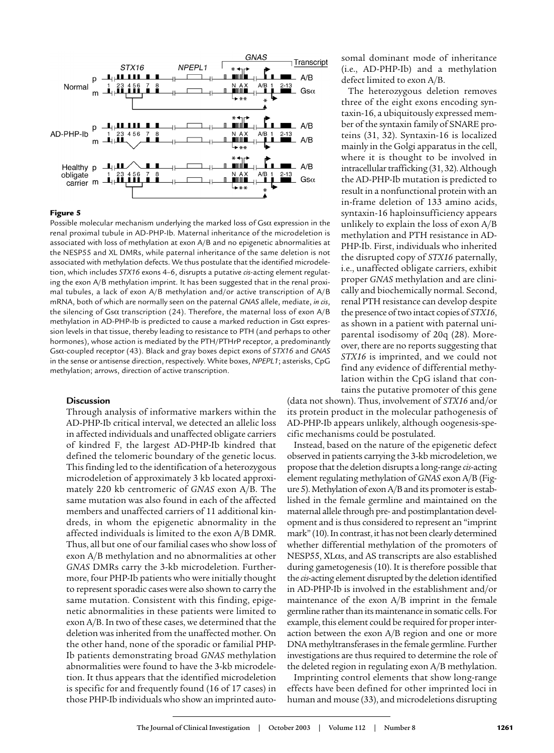

# Figure 5

Possible molecular mechanism underlying the marked loss of  $Gs\alpha$  expression in the renal proximal tubule in AD-PHP-Ib. Maternal inheritance of the microdeletion is associated with loss of methylation at exon A/B and no epigenetic abnormalities at the NESP55 and XL DMRs, while paternal inheritance of the same deletion is not associated with methylation defects. We thus postulate that the identified microdeletion, which includes *STX16* exons 4–6, disrupts a putative *cis*-acting element regulating the exon A/B methylation imprint. It has been suggested that in the renal proximal tubules, a lack of exon A/B methylation and/or active transcription of A/B mRNA, both of which are normally seen on the paternal *GNAS* allele, mediate, *in cis*, the silencing of Gs $\alpha$  transcription (24). Therefore, the maternal loss of exon A/B methylation in AD-PHP-Ib is predicted to cause a marked reduction in  $Gs\alpha$  expression levels in that tissue, thereby leading to resistance to PTH (and perhaps to other hormones), whose action is mediated by the PTH/PTHrP receptor, a predominantly Gsa-coupled receptor (43). Black and gray boxes depict exons of *STX16* and *GNAS* in the sense or antisense direction, respectively. White boxes, *NPEPL1*; asterisks, CpG methylation; arrows, direction of active transcription.

#### **Discussion**

Through analysis of informative markers within the AD-PHP-Ib critical interval, we detected an allelic loss in affected individuals and unaffected obligate carriers of kindred F, the largest AD-PHP-Ib kindred that defined the telomeric boundary of the genetic locus. This finding led to the identification of a heterozygous microdeletion of approximately 3 kb located approximately 220 kb centromeric of *GNAS* exon A/B. The same mutation was also found in each of the affected members and unaffected carriers of 11 additional kindreds, in whom the epigenetic abnormality in the affected individuals is limited to the exon A/B DMR. Thus, all but one of our familial cases who show loss of exon A/B methylation and no abnormalities at other *GNAS* DMRs carry the 3-kb microdeletion. Furthermore, four PHP-Ib patients who were initially thought to represent sporadic cases were also shown to carry the same mutation. Consistent with this finding, epigenetic abnormalities in these patients were limited to exon A/B. In two of these cases, we determined that the deletion was inherited from the unaffected mother. On the other hand, none of the sporadic or familial PHP-Ib patients demonstrating broad *GNAS* methylation abnormalities were found to have the 3-kb microdeletion. It thus appears that the identified microdeletion is specific for and frequently found (16 of 17 cases) in those PHP-Ib individuals who show an imprinted autosomal dominant mode of inheritance (i.e., AD-PHP-Ib) and a methylation defect limited to exon A/B.

The heterozygous deletion removes three of the eight exons encoding syntaxin-16, a ubiquitously expressed member of the syntaxin family of SNARE proteins (31, 32). Syntaxin-16 is localized mainly in the Golgi apparatus in the cell, where it is thought to be involved in intracellular trafficking (31, 32). Although the AD-PHP-Ib mutation is predicted to result in a nonfunctional protein with an in-frame deletion of 133 amino acids, syntaxin-16 haploinsufficiency appears unlikely to explain the loss of exon A/B methylation and PTH resistance in AD-PHP-Ib. First, individuals who inherited the disrupted copy of *STX16* paternally, i.e., unaffected obligate carriers, exhibit proper *GNAS* methylation and are clinically and biochemically normal. Second, renal PTH resistance can develop despite the presence of two intact copies of *STX16*, as shown in a patient with paternal uniparental isodisomy of 20q (28). Moreover, there are no reports suggesting that *STX16* is imprinted, and we could not find any evidence of differential methylation within the CpG island that contains the putative promoter of this gene

(data not shown). Thus, involvement of *STX16* and/or its protein product in the molecular pathogenesis of AD-PHP-Ib appears unlikely, although oogenesis-specific mechanisms could be postulated.

Instead, based on the nature of the epigenetic defect observed in patients carrying the 3-kb microdeletion, we propose that the deletion disrupts a long-range *cis*-acting element regulating methylation of *GNAS* exon A/B (Figure 5). Methylation of exon A/B and its promoter is established in the female germline and maintained on the maternal allele through pre- and postimplantation development and is thus considered to represent an "imprint mark" (10). In contrast, it has not been clearly determined whether differential methylation of the promoters of  $NESP55$ ,  $XL\alpha s$ , and AS transcripts are also established during gametogenesis (10). It is therefore possible that the *cis*-acting element disrupted by the deletion identified in AD-PHP-Ib is involved in the establishment and/or maintenance of the exon A/B imprint in the female germline rather than its maintenance in somatic cells. For example, this element could be required for proper interaction between the exon A/B region and one or more DNA methyltransferases in the female germline. Further investigations are thus required to determine the role of the deleted region in regulating exon A/B methylation.

Imprinting control elements that show long-range effects have been defined for other imprinted loci in human and mouse (33), and microdeletions disrupting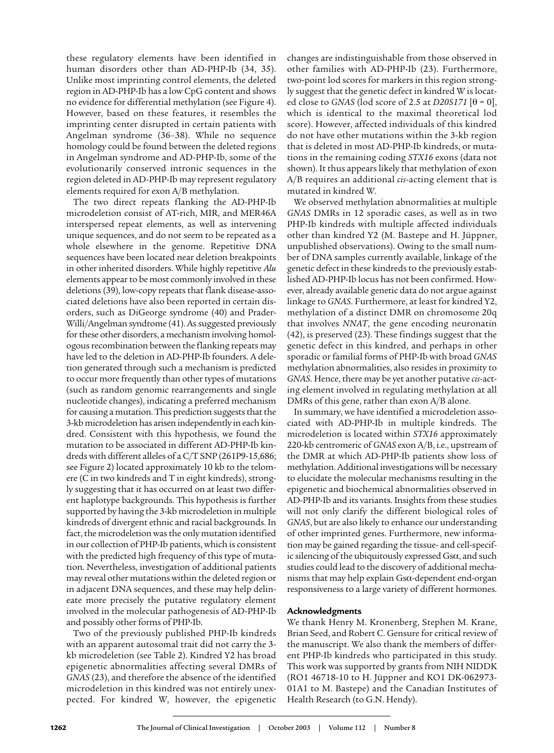these regulatory elements have been identified in human disorders other than AD-PHP-Ib (34, 35). Unlike most imprinting control elements, the deleted region in AD-PHP-Ib has a low CpG content and shows no evidence for differential methylation (see Figure 4). However, based on these features, it resembles the imprinting center disrupted in certain patients with Angelman syndrome (36–38). While no sequence homology could be found between the deleted regions in Angelman syndrome and AD-PHP-Ib, some of the evolutionarily conserved intronic sequences in the region deleted in AD-PHP-Ib may represent regulatory elements required for exon A/B methylation.

The two direct repeats flanking the AD-PHP-Ib microdeletion consist of AT-rich, MIR, and MER46A interspersed repeat elements, as well as intervening unique sequences, and do not seem to be repeated as a whole elsewhere in the genome. Repetitive DNA sequences have been located near deletion breakpoints in other inherited disorders. While highly repetitive *Alu* elements appear to be most commonly involved in these deletions (39), low-copy repeats that flank disease-associated deletions have also been reported in certain disorders, such as DiGeorge syndrome (40) and Prader-Willi/Angelman syndrome (41). As suggested previously for these other disorders, a mechanism involving homologous recombination between the flanking repeats may have led to the deletion in AD-PHP-Ib founders. A deletion generated through such a mechanism is predicted to occur more frequently than other types of mutations (such as random genomic rearrangements and single nucleotide changes), indicating a preferred mechanism for causing a mutation. This prediction suggests that the 3-kb microdeletion has arisen independently in each kindred. Consistent with this hypothesis, we found the mutation to be associated in different AD-PHP-Ib kindreds with different alleles of a C/T SNP (261P9-15,686; see Figure 2) located approximately 10 kb to the telomere (C in two kindreds and T in eight kindreds), strongly suggesting that it has occurred on at least two different haplotype backgrounds. This hypothesis is further supported by having the 3-kb microdeletion in multiple kindreds of divergent ethnic and racial backgrounds. In fact, the microdeletion was the only mutation identified in our collection of PHP-Ib patients, which is consistent with the predicted high frequency of this type of mutation. Nevertheless, investigation of additional patients may reveal other mutations within the deleted region or in adjacent DNA sequences, and these may help delineate more precisely the putative regulatory element involved in the molecular pathogenesis of AD-PHP-Ib and possibly other forms of PHP-Ib.

Two of the previously published PHP-Ib kindreds with an apparent autosomal trait did not carry the 3 kb microdeletion (see Table 2). Kindred Y2 has broad epigenetic abnormalities affecting several DMRs of *GNAS* (23), and therefore the absence of the identified microdeletion in this kindred was not entirely unexpected. For kindred W, however, the epigenetic

changes are indistinguishable from those observed in other families with AD-PHP-Ib (23). Furthermore, two-point lod scores for markers in this region strongly suggest that the genetic defect in kindred W is located close to *GNAS* (lod score of 2.5 at *D20S171*  $[\theta = 0]$ , which is identical to the maximal theoretical lod score). However, affected individuals of this kindred do not have other mutations within the 3-kb region that is deleted in most AD-PHP-Ib kindreds, or mutations in the remaining coding *STX16* exons (data not shown). It thus appears likely that methylation of exon A/B requires an additional *cis*-acting element that is mutated in kindred W.

We observed methylation abnormalities at multiple *GNAS* DMRs in 12 sporadic cases, as well as in two PHP-Ib kindreds with multiple affected individuals other than kindred Y2 (M. Bastepe and H. Jüppner, unpublished observations). Owing to the small number of DNA samples currently available, linkage of the genetic defect in these kindreds to the previously established AD-PHP-Ib locus has not been confirmed. However, already available genetic data do not argue against linkage to *GNAS*. Furthermore, at least for kindred Y2, methylation of a distinct DMR on chromosome 20q that involves *NNAT*, the gene encoding neuronatin (42), is preserved (23). These findings suggest that the genetic defect in this kindred, and perhaps in other sporadic or familial forms of PHP-Ib with broad *GNAS* methylation abnormalities, also resides in proximity to *GNAS*. Hence, there may be yet another putative *cis*-acting element involved in regulating methylation at all DMRs of this gene, rather than exon A/B alone.

In summary, we have identified a microdeletion associated with AD-PHP-Ib in multiple kindreds. The microdeletion is located within *STX16* approximately 220-kb centromeric of *GNAS* exon A/B, i.e., upstream of the DMR at which AD-PHP-Ib patients show loss of methylation. Additional investigations will be necessary to elucidate the molecular mechanisms resulting in the epigenetic and biochemical abnormalities observed in AD-PHP-Ib and its variants. Insights from these studies will not only clarify the different biological roles of *GNAS*, but are also likely to enhance our understanding of other imprinted genes. Furthermore, new information may be gained regarding the tissue- and cell-specific silencing of the ubiquitously expressed  $\text{Gs}\alpha$ , and such studies could lead to the discovery of additional mechanisms that may help explain Gs $\alpha$ -dependent end-organ responsiveness to a large variety of different hormones.

# **Acknowledgments**

We thank Henry M. Kronenberg, Stephen M. Krane, Brian Seed, and Robert C. Gensure for critical review of the manuscript. We also thank the members of different PHP-Ib kindreds who participated in this study. This work was supported by grants from NIH NIDDK (RO1 46718-10 to H. Jüppner and KO1 DK-062973- 01A1 to M. Bastepe) and the Canadian Institutes of Health Research (to G.N. Hendy).